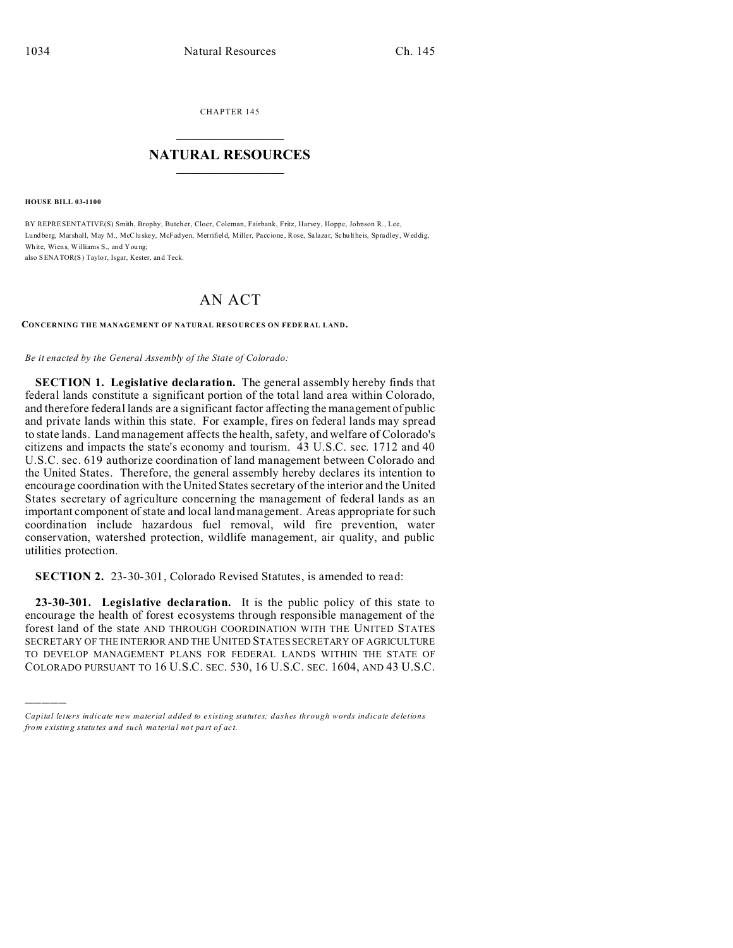CHAPTER 145

## **NATURAL RESOURCES**

**HOUSE BILL 03-1100** 

BY REPRESENTATIVE(S) Smith, Brophy, Butcher, Cloer, Coleman, Fairbank, Fritz, Harvey, Hoppe, Johnson R., Lee, Lundberg, Marshall, May M., McCluskey, McFadyen, Merrifield, Miller, Paccione, Rose, Salazar, Schultheis, Spradley, Weddig, White, Wiens, Williams S., and Young; also SENATOR(S) Taylor, Isgar, Kester, and Teck.

## **AN ACT**

CONCERNING THE MANAGEMENT OF NATURAL RESOURCES ON FEDERAL LAND.

Be it enacted by the General Assembly of the State of Colorado:

SECTION 1. Legislative declaration. The general assembly hereby finds that federal lands constitute a significant portion of the total land area within Colorado, and therefore federal lands are a significant factor affecting the management of public and private lands within this state. For example, fires on federal lands may spread to state lands. Land management affects the health, safety, and welfare of Colorado's citizens and impacts the state's economy and tourism. 43 U.S.C. sec. 1712 and 40 U.S.C. sec. 619 authorize coordination of land management between Colorado and the United States. Therefore, the general assembly hereby declares its intention to encourage coordination with the United States secretary of the interior and the United States secretary of agriculture concerning the management of federal lands as an important component of state and local land management. Areas appropriate for such coordination include hazardous fuel removal, wild fire prevention, water conservation, watershed protection, wildlife management, air quality, and public utilities protection.

**SECTION 2.** 23-30-301, Colorado Revised Statutes, is amended to read:

23-30-301. Legislative declaration. It is the public policy of this state to encourage the health of forest ecosystems through responsible management of the forest land of the state AND THROUGH COORDINATION WITH THE UNITED STATES SECRETARY OF THE INTERIOR AND THE UNITED STATES SECRETARY OF AGRICULTURE TO DEVELOP MANAGEMENT PLANS FOR FEDERAL LANDS WITHIN THE STATE OF COLORADO PURSUANT TO 16 U.S.C. SEC. 530, 16 U.S.C. SEC. 1604, AND 43 U.S.C.

Capital letters indicate new material added to existing statutes; dashes through words indicate deletions from existing statutes and such material not part of act.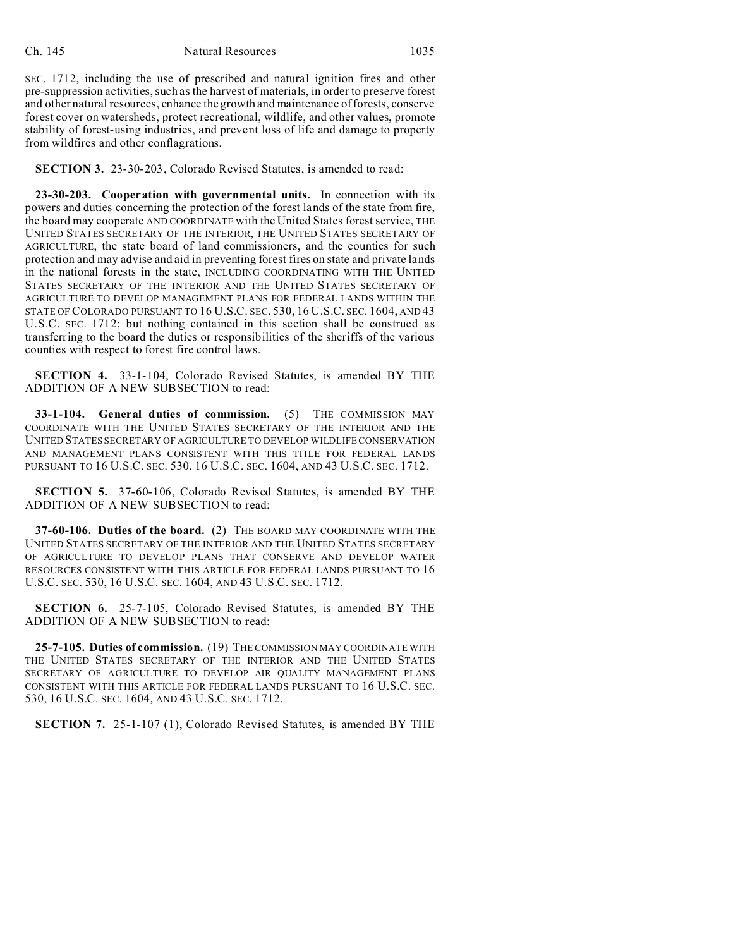SEC. 1712, including the use of prescribed and natural ignition fires and other pre-suppression activities, such as the harvest of materials, in order to preserve forest and other natural resources, enhance the growth and maintenance of forests, conserve forest cover on watersheds, protect recreational, wildlife, and other values, promote stability of forest-using industries, and prevent loss of life and damage to property from wildfires and other conflagrations.

**SECTION 3.** 23-30-203, Colorado Revised Statutes, is amended to read:

**23-30-203. Cooperation with governmental units.** In connection with its powers and duties concerning the protection of the forest lands of the state from fire, the board may cooperate AND COORDINATE with the United States forest service, THE UNITED STATES SECRETARY OF THE INTERIOR, THE UNITED STATES SECRETARY OF AGRICULTURE, the state board of land commissioners, and the counties for such protection and may advise and aid in preventing forest fires on state and private lands in the national forests in the state, INCLUDING COORDINATING WITH THE UNITED STATES SECRETARY OF THE INTERIOR AND THE UNITED STATES SECRETARY OF AGRICULTURE TO DEVELOP MANAGEMENT PLANS FOR FEDERAL LANDS WITHIN THE STATE OF COLORADO PURSUANT TO 16 U.S.C. SEC. 530, 16 U.S.C. SEC. 1604, AND 43 U.S.C. SEC. 1712; but nothing contained in this section shall be construed as transferring to the board the duties or responsibilities of the sheriffs of the various counties with respect to forest fire control laws.

**SECTION 4.** 33-1-104, Colorado Revised Statutes, is amended BY THE ADDITION OF A NEW SUBSECTION to read:

**33-1-104. General duties of commission.** (5) THE COMMISSION MAY COORDINATE WITH THE UNITED STATES SECRETARY OF THE INTERIOR AND THE UNITED STATES SECRETARY OF AGRICULTURE TO DEVELOP WILDLIFE CONSERVATION AND MANAGEMENT PLANS CONSISTENT WITH THIS TITLE FOR FEDERAL LANDS PURSUANT TO 16 U.S.C. SEC. 530, 16 U.S.C. SEC. 1604, AND 43 U.S.C. SEC. 1712.

**SECTION 5.** 37-60-106, Colorado Revised Statutes, is amended BY THE ADDITION OF A NEW SUBSECTION to read:

**37-60-106. Duties of the board.** (2) THE BOARD MAY COORDINATE WITH THE UNITED STATES SECRETARY OF THE INTERIOR AND THE UNITED STATES SECRETARY OF AGRICULTURE TO DEVELOP PLANS THAT CONSERVE AND DEVELOP WATER RESOURCES CONSISTENT WITH THIS ARTICLE FOR FEDERAL LANDS PURSUANT TO 16 U.S.C. SEC. 530, 16 U.S.C. SEC. 1604, AND 43 U.S.C. SEC. 1712.

**SECTION 6.** 25-7-105, Colorado Revised Statutes, is amended BY THE ADDITION OF A NEW SUBSECTION to read:

**25-7-105. Duties of commission.** (19) THE COMMISSION MAY COORDINATE WITH THE UNITED STATES SECRETARY OF THE INTERIOR AND THE UNITED STATES SECRETARY OF AGRICULTURE TO DEVELOP AIR QUALITY MANAGEMENT PLANS CONSISTENT WITH THIS ARTICLE FOR FEDERAL LANDS PURSUANT TO 16 U.S.C. SEC. 530, 16 U.S.C. SEC. 1604, AND 43 U.S.C. SEC. 1712.

**SECTION 7.** 25-1-107 (1), Colorado Revised Statutes, is amended BY THE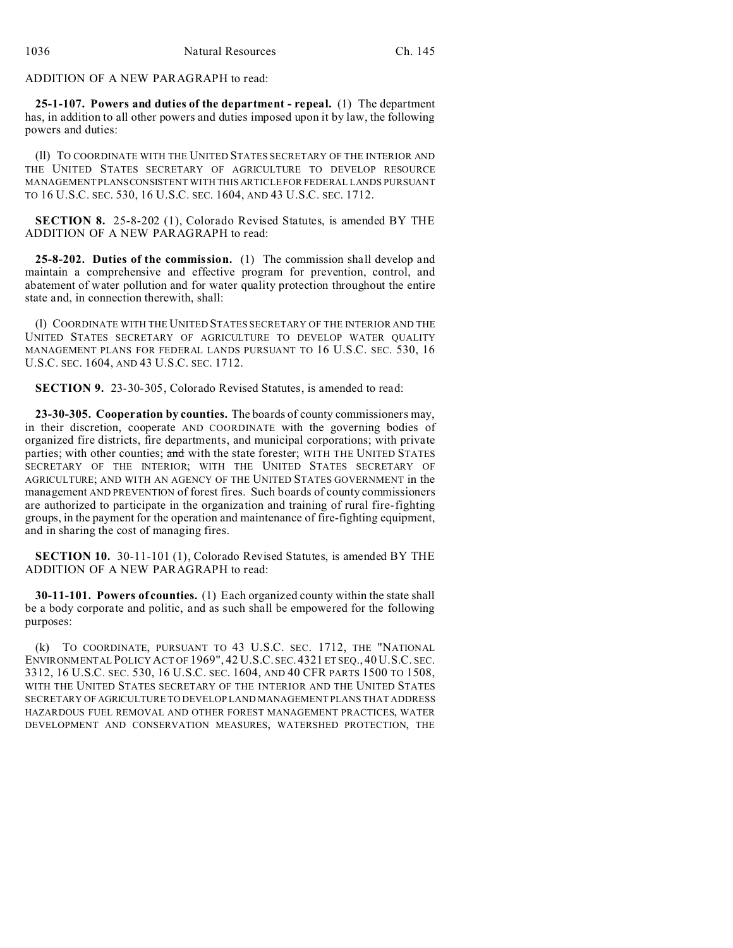ADDITION OF A NEW PARAGRAPH to read:

**25-1-107. Powers and duties of the department - repeal.** (1) The department has, in addition to all other powers and duties imposed upon it by law, the following powers and duties:

(ll) TO COORDINATE WITH THE UNITED STATES SECRETARY OF THE INTERIOR AND THE UNITED STATES SECRETARY OF AGRICULTURE TO DEVELOP RESOURCE MANAGEMENT PLANSCONSISTENT WITH THIS ARTICLE FOR FEDERAL LANDS PURSUANT TO 16 U.S.C. SEC. 530, 16 U.S.C. SEC. 1604, AND 43 U.S.C. SEC. 1712.

**SECTION 8.** 25-8-202 (1), Colorado Revised Statutes, is amended BY THE ADDITION OF A NEW PARAGRAPH to read:

**25-8-202. Duties of the commission.** (1) The commission shall develop and maintain a comprehensive and effective program for prevention, control, and abatement of water pollution and for water quality protection throughout the entire state and, in connection therewith, shall:

(l) COORDINATE WITH THE UNITED STATES SECRETARY OF THE INTERIOR AND THE UNITED STATES SECRETARY OF AGRICULTURE TO DEVELOP WATER QUALITY MANAGEMENT PLANS FOR FEDERAL LANDS PURSUANT TO 16 U.S.C. SEC. 530, 16 U.S.C. SEC. 1604, AND 43 U.S.C. SEC. 1712.

**SECTION 9.** 23-30-305, Colorado Revised Statutes, is amended to read:

**23-30-305. Cooperation by counties.** The boards of county commissioners may, in their discretion, cooperate AND COORDINATE with the governing bodies of organized fire districts, fire departments, and municipal corporations; with private parties; with other counties; and with the state forester; WITH THE UNITED STATES SECRETARY OF THE INTERIOR; WITH THE UNITED STATES SECRETARY OF AGRICULTURE; AND WITH AN AGENCY OF THE UNITED STATES GOVERNMENT in the management AND PREVENTION of forest fires. Such boards of county commissioners are authorized to participate in the organization and training of rural fire-fighting groups, in the payment for the operation and maintenance of fire-fighting equipment, and in sharing the cost of managing fires.

**SECTION 10.** 30-11-101 (1), Colorado Revised Statutes, is amended BY THE ADDITION OF A NEW PARAGRAPH to read:

**30-11-101. Powers of counties.** (1) Each organized county within the state shall be a body corporate and politic, and as such shall be empowered for the following purposes:

(k) TO COORDINATE, PURSUANT TO 43 U.S.C. SEC. 1712, THE "NATIONAL ENVIRONMENTAL POLICY ACT OF 1969", 42 U.S.C. SEC. 4321 ET SEQ., 40 U.S.C. SEC. 3312, 16 U.S.C. SEC. 530, 16 U.S.C. SEC. 1604, AND 40 CFR PARTS 1500 TO 1508, WITH THE UNITED STATES SECRETARY OF THE INTERIOR AND THE UNITED STATES SECRETARY OF AGRICULTURE TO DEVELOP LAND MANAGEMENT PLANS THAT ADDRESS HAZARDOUS FUEL REMOVAL AND OTHER FOREST MANAGEMENT PRACTICES, WATER DEVELOPMENT AND CONSERVATION MEASURES, WATERSHED PROTECTION, THE